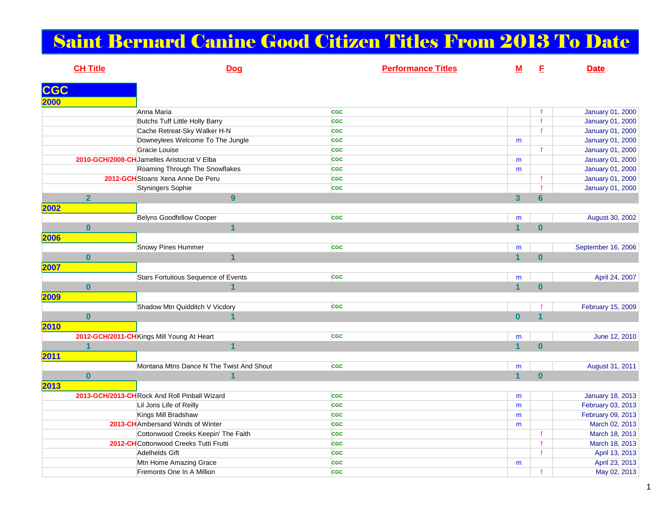## Saint Bernard Canine Good Citizen Titles From 2013 To Date

|            | <b>CH Title</b> |                                              | Dog            |            | <b>Performance Titles</b> | $M$                     | Е              | <b>Date</b>        |
|------------|-----------------|----------------------------------------------|----------------|------------|---------------------------|-------------------------|----------------|--------------------|
| <b>CGC</b> |                 |                                              |                |            |                           |                         |                |                    |
| 2000       |                 |                                              |                |            |                           |                         |                |                    |
|            |                 | Anna Maria                                   |                | <b>CGC</b> |                           |                         | f              | January 01, 2000   |
|            |                 | Butchs Tuff Little Holly Barry               |                | <b>CGC</b> |                           |                         | $\ddot{f}$     | January 01, 2000   |
|            |                 | Cache Retreat-Sky Walker H-N                 |                | <b>CGC</b> |                           |                         | f              | January 01, 2000   |
|            |                 | Downeylees Welcome To The Jungle             |                | <b>CGC</b> |                           | m                       |                | January 01, 2000   |
|            |                 | Gracie Louise                                |                | <b>CGC</b> |                           |                         |                | January 01, 2000   |
|            |                 | 2010-GCH/2008-CH Jamelles Aristocrat V Elba  |                | <b>CGC</b> |                           | m                       |                | January 01, 2000   |
|            |                 | Roaming Through The Snowflakes               |                | <b>CGC</b> |                           | m                       |                | January 01, 2000   |
|            |                 | 2012-GCH Stoans Xena Anne De Peru            |                | <b>CGC</b> |                           |                         | $\mathbf f$    | January 01, 2000   |
|            |                 | Styningers Sophie                            |                | <b>CGC</b> |                           |                         | $\mathbf{f}$   | January 01, 2000   |
|            | $\overline{2}$  |                                              | 9              |            |                           | $\overline{\mathbf{3}}$ | $6\phantom{a}$ |                    |
| 2002       |                 |                                              |                |            |                           |                         |                |                    |
|            |                 | <b>Belyns Goodfellow Cooper</b>              |                | <b>CGC</b> |                           | m                       |                | August 30, 2002    |
|            | $\bf{0}$        |                                              | $\mathbf{1}$   |            |                           | $\overline{\mathbf{1}}$ | $\bf{0}$       |                    |
| 2006       |                 |                                              |                |            |                           |                         |                |                    |
|            |                 | Snowy Pines Hummer                           |                | <b>CGC</b> |                           | m                       |                | September 16, 2006 |
|            | $\mathbf{0}$    |                                              | $\mathbf{1}$   |            |                           | $\overline{1}$          | $\mathbf{0}$   |                    |
| 2007       |                 |                                              |                |            |                           |                         |                |                    |
|            |                 | Stars Fortuitous Sequence of Events          |                | <b>CGC</b> |                           | m                       |                | April 24, 2007     |
|            | $\mathbf{0}$    |                                              | 1              |            |                           | $\overline{1}$          | $\mathbf{0}$   |                    |
| 2009       |                 |                                              |                |            |                           |                         |                |                    |
|            |                 | Shadow Mtn Quidditch V Vicdory               |                | <b>CGC</b> |                           |                         |                | February 15, 2009  |
|            | $\bf{0}$        |                                              | 1              |            |                           | $\bf{0}$                | $\mathbf{1}$   |                    |
| 2010       |                 |                                              |                |            |                           |                         |                |                    |
|            |                 | 2012-GCH/2011-CH Kings Mill Young At Heart   |                | <b>CGC</b> |                           |                         |                | June 12, 2010      |
|            | $\overline{1}$  |                                              | $\overline{1}$ |            |                           | m<br>$\overline{1}$     | $\mathbf{0}$   |                    |
|            |                 |                                              |                |            |                           |                         |                |                    |
| 2011       |                 | Montana Mtns Dance N The Twist And Shout     |                |            |                           |                         |                |                    |
|            |                 |                                              | 1              | <b>CGC</b> |                           | m<br>$\overline{1}$     | $\mathbf{0}$   | August 31, 2011    |
|            | $\mathbf{0}$    |                                              |                |            |                           |                         |                |                    |
| 2013       |                 |                                              |                |            |                           |                         |                |                    |
|            |                 | 2013-GCH/2013-CHRock And Roll Pinball Wizard |                | <b>CGC</b> |                           | m                       |                | January 18, 2013   |
|            |                 | Lil Jons Life of Reilly                      |                | <b>CGC</b> |                           | m                       |                | February 03, 2013  |
|            |                 | Kings Mill Bradshaw                          |                | <b>CGC</b> |                           | m                       |                | February 09, 2013  |
|            |                 | 2013-CH Ambersand Winds of Winter            |                | <b>CGC</b> |                           | m                       |                | March 02, 2013     |
|            |                 | Cottonwood Creeks Keepin' The Faith          |                | <b>CGC</b> |                           |                         | $\mathbf f$    | March 18, 2013     |
|            |                 | 2012-CHCottonwood Creeks Tutti Frutti        |                | <b>CGC</b> |                           |                         | $\mathbf f$    | March 18, 2013     |
|            |                 | Adelhelds Gift                               |                | <b>CGC</b> |                           |                         | f              | April 13, 2013     |
|            |                 | Mtn Home Amazing Grace                       |                | <b>CGC</b> |                           | m                       |                | April 23, 2013     |
|            |                 | Fremonts One In A Million                    |                | <b>CGC</b> |                           |                         | f              | May 02, 2013       |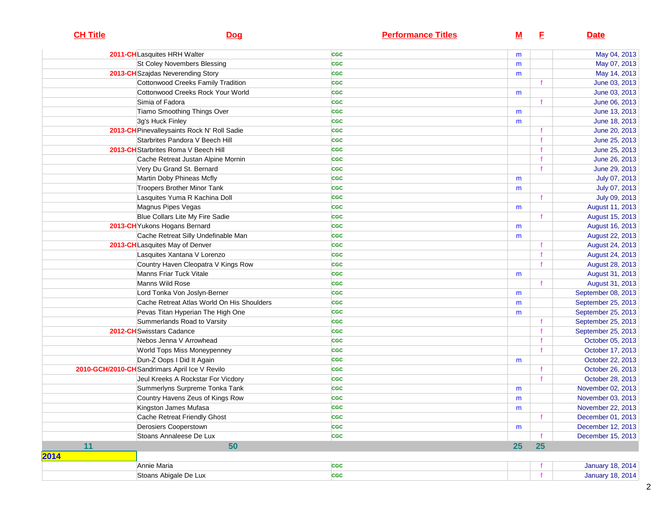| <b>CH Title</b> | Dog                                            | <b>Performance Titles</b> | <u>M</u> | E. | <b>Date</b>             |
|-----------------|------------------------------------------------|---------------------------|----------|----|-------------------------|
|                 | 2011-CHLasquites HRH Walter                    | <b>CGC</b>                | m        |    | May 04, 2013            |
|                 | St Coley Novembers Blessing                    | <b>CGC</b>                | m        |    | May 07, 2013            |
|                 | 2013-CH Szajdas Neverending Story              | <b>CGC</b>                | m        |    | May 14, 2013            |
|                 | Cottonwood Creeks Family Tradition             | <b>CGC</b>                |          |    | June 03, 2013           |
|                 | Cottonwood Creeks Rock Your World              | <b>CGC</b>                | m        |    | June 03, 2013           |
|                 | Simia of Fadora                                | <b>CGC</b>                |          |    | June 06, 2013           |
|                 | Tiamo Smoothing Things Over                    | <b>CGC</b>                | m        |    | June 13, 2013           |
|                 | 3g's Huck Finley                               | <b>CGC</b>                | m        |    | June 18, 2013           |
|                 | 2013-CH Pinevalleysaints Rock N' Roll Sadie    | <b>CGC</b>                |          |    | June 20, 2013           |
|                 | Starbrites Pandora V Beech Hill                | <b>CGC</b>                |          |    | June 25, 2013           |
|                 | 2013-CH Starbrites Roma V Beech Hill           | <b>CGC</b>                |          |    | June 25, 2013           |
|                 | Cache Retreat Justan Alpine Mornin             | <b>CGC</b>                |          |    | June 26, 2013           |
|                 | Very Du Grand St. Bernard                      | <b>CGC</b>                |          |    | June 29, 2013           |
|                 | Martin Doby Phineas Mcfly                      | <b>CGC</b>                | m        |    | July 07, 2013           |
|                 | Troopers Brother Minor Tank                    | <b>CGC</b>                | m        |    | July 07, 2013           |
|                 | Lasquites Yuma R Kachina Doll                  | <b>CGC</b>                |          |    | July 09, 2013           |
|                 | Magnus Pipes Vegas                             | <b>CGC</b>                | m        |    | August 11, 2013         |
|                 | Blue Collars Lite My Fire Sadie                | <b>CGC</b>                |          |    | August 15, 2013         |
|                 | 2013-CH Yukons Hogans Bernard                  | <b>CGC</b>                | m        |    | August 16, 2013         |
|                 | Cache Retreat Silly Undefinable Man            | <b>CGC</b>                | m        |    | August 22, 2013         |
|                 | 2013-CH Lasquites May of Denver                | <b>CGC</b>                |          |    | August 24, 2013         |
|                 | Lasquites Xantana V Lorenzo                    | <b>CGC</b>                |          |    | August 24, 2013         |
|                 | Country Haven Cleopatra V Kings Row            | <b>CGC</b>                |          |    | August 28, 2013         |
|                 | Manns Friar Tuck Vitale                        | <b>CGC</b>                | m        |    | August 31, 2013         |
|                 | Manns Wild Rose                                | <b>CGC</b>                |          |    | August 31, 2013         |
|                 | Lord Tonka Von Joslyn-Berner                   | <b>CGC</b>                | m        |    | September 08, 2013      |
|                 | Cache Retreat Atlas World On His Shoulders     | <b>CGC</b>                | m        |    | September 25, 2013      |
|                 | Pevas Titan Hyperian The High One              | <b>CGC</b>                | m        |    | September 25, 2013      |
|                 | Summerlands Road to Varsity                    | <b>CGC</b>                |          |    | September 25, 2013      |
|                 | 2012-CH Swisstars Cadance                      | <b>CGC</b>                |          |    | September 25, 2013      |
|                 | Nebos Jenna V Arrowhead                        | <b>CGC</b>                |          |    | October 05, 2013        |
|                 | World Tops Miss Moneypenney                    | <b>CGC</b>                |          |    | October 17, 2013        |
|                 | Dun-Z Oops I Did It Again                      | <b>CGC</b>                | m        |    | October 22, 2013        |
|                 | 2010-GCH/2010-CH Sandrimars April Ice V Revilo | <b>CGC</b>                |          |    | October 26, 2013        |
|                 | Jeul Kreeks A Rockstar For Vicdory             | <b>CGC</b>                |          |    | October 28, 2013        |
|                 | Summerlyns Surpreme Tonka Tank                 | <b>CGC</b>                | m        |    | November 02, 2013       |
|                 | Country Havens Zeus of Kings Row               | <b>CGC</b>                | m        |    | November 03, 2013       |
|                 | Kingston James Mufasa                          | <b>CGC</b>                | m        |    | November 22, 2013       |
|                 | Cache Retreat Friendly Ghost                   | <b>CGC</b>                |          |    | December 01, 2013       |
|                 | Derosiers Cooperstown                          | <b>CGC</b>                | m        |    | December 12, 2013       |
|                 | Stoans Annaleese De Lux                        | <b>CGC</b>                |          |    | December 15, 2013       |
| 11              | 50                                             |                           | 25       | 25 |                         |
| 2014            |                                                |                           |          |    |                         |
|                 | Annie Maria                                    | <b>CGC</b>                |          |    | <b>January 18, 2014</b> |
|                 | Stoans Abigale De Lux                          | <b>CGC</b>                |          |    | <b>January 18, 2014</b> |
|                 |                                                |                           |          |    |                         |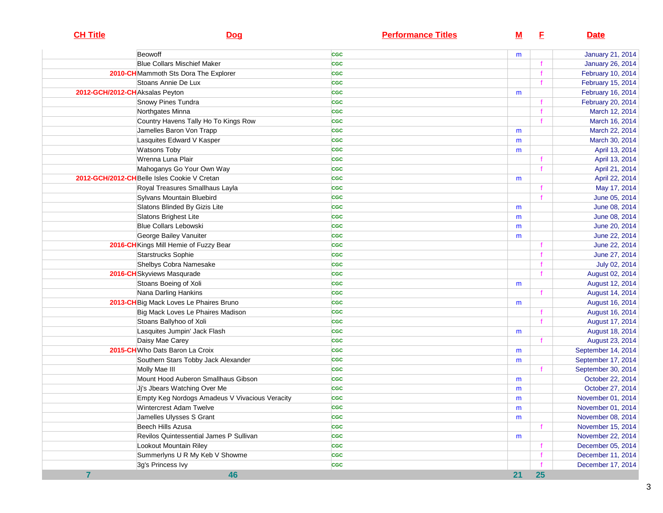| <b>CH Title</b>                | <b>Dog</b>                                     | <b>Performance Titles</b> | $M$ | E            | <b>Date</b>              |
|--------------------------------|------------------------------------------------|---------------------------|-----|--------------|--------------------------|
|                                | Beowoff                                        | <b>CGC</b>                | m   |              | <b>January 21, 2014</b>  |
|                                | <b>Blue Collars Mischief Maker</b>             | <b>CGC</b>                |     | $\mathbf f$  | <b>January 26, 2014</b>  |
|                                | 2010-CH Mammoth Sts Dora The Explorer          | <b>CGC</b>                |     |              | February 10, 2014        |
|                                | Stoans Annie De Lux                            | <b>CGC</b>                |     | $\mathbf f$  | February 15, 2014        |
| 2012-GCH/2012-CHAksalas Peyton |                                                | <b>CGC</b>                | m   |              | <b>February 16, 2014</b> |
|                                | Snowy Pines Tundra                             | <b>CGC</b>                |     |              | February 20, 2014        |
|                                | Northgates Minna                               | <b>CGC</b>                |     |              | March 12, 2014           |
|                                | Country Havens Tally Ho To Kings Row           | <b>CGC</b>                |     |              | March 16, 2014           |
|                                | Jamelles Baron Von Trapp                       | <b>CGC</b>                | m   |              | March 22, 2014           |
|                                | Lasquites Edward V Kasper                      | <b>CGC</b>                | m   |              | March 30, 2014           |
|                                | <b>Watsons Toby</b>                            | <b>CGC</b>                | m   |              | April 13, 2014           |
|                                | Wrenna Luna Plair                              | <b>CGC</b>                |     |              | April 13, 2014           |
|                                | Mahoganys Go Your Own Way                      | <b>CGC</b>                |     | $\mathbf f$  | April 21, 2014           |
|                                | 2012-GCH/2012-CH Belle Isles Cookie V Cretan   | <b>CGC</b>                | m   |              | April 22, 2014           |
|                                | Royal Treasures Smallhaus Layla                | <b>CGC</b>                |     |              | May 17, 2014             |
|                                | Sylvans Mountain Bluebird                      | <b>CGC</b>                |     |              | June 05, 2014            |
|                                | Slatons Blinded By Gizis Lite                  | <b>CGC</b>                | m   |              | June 08, 2014            |
|                                | Slatons Brighest Lite                          | <b>CGC</b>                | m   |              | June 08, 2014            |
|                                | <b>Blue Collars Lebowski</b>                   | <b>CGC</b>                | m   |              | June 20, 2014            |
|                                | George Bailey Vanuiter                         | <b>CGC</b>                | m   |              | June 22, 2014            |
|                                | 2016-CH Kings Mill Hemie of Fuzzy Bear         | <b>CGC</b>                |     |              | June 22, 2014            |
|                                | Starstrucks Sophie                             | <b>CGC</b>                |     |              | June 27, 2014            |
|                                | Shelbys Cobra Namesake                         | <b>CGC</b>                |     |              | July 02, 2014            |
|                                | 2016-CH Skyviews Masqurade                     | <b>CGC</b>                |     | $\mathbf f$  | August 02, 2014          |
|                                | Stoans Boeing of Xoli                          | <b>CGC</b>                | m   |              | August 12, 2014          |
|                                | Nana Darling Hankins                           | <b>CGC</b>                |     |              | August 14, 2014          |
|                                | 2013-CH Big Mack Loves Le Phaires Bruno        | <b>CGC</b>                | m   |              | August 16, 2014          |
|                                | Big Mack Loves Le Phaires Madison              | <b>CGC</b>                |     |              | August 16, 2014          |
|                                | Stoans Ballyhoo of Xoli                        | <b>CGC</b>                |     | f            | August 17, 2014          |
|                                | Lasquites Jumpin' Jack Flash                   | <b>CGC</b>                | m   |              | August 18, 2014          |
|                                | Daisy Mae Carey                                | <b>CGC</b>                |     |              | August 23, 2014          |
|                                | 2015-CH Who Dats Baron La Croix                | <b>CGC</b>                | m   |              | September 14, 2014       |
|                                | Southern Stars Tobby Jack Alexander            | <b>CGC</b>                | m   |              | September 17, 2014       |
|                                | Molly Mae III                                  | <b>CGC</b>                |     | f.           | September 30, 2014       |
|                                | Mount Hood Auberon Smallhaus Gibson            | <b>CGC</b>                | m   |              | October 22, 2014         |
|                                | Jj's Jbears Watching Over Me                   | <b>CGC</b>                | m   |              | October 27, 2014         |
|                                | Empty Keg Nordogs Amadeus V Vivacious Veracity | <b>CGC</b>                | m   |              | November 01, 2014        |
|                                | Wintercrest Adam Twelve                        | CGC                       | m   |              | November 01, 2014        |
|                                | Jamelles Ulysses S Grant                       | CGC                       | m   |              | November 08, 2014        |
|                                | Beech Hills Azusa                              | <b>CGC</b>                |     |              | November 15, 2014        |
|                                | Revilos Quintessential James P Sullivan        | <b>CGC</b>                | m   |              | November 22, 2014        |
|                                | Lookout Mountain Riley                         | <b>CGC</b>                |     |              | December 05, 2014        |
|                                | Summerlyns U R My Keb V Showme                 | <b>CGC</b>                |     | $\mathbf f$  | December 11, 2014        |
|                                | 3g's Princess Ivy                              | <b>CGC</b>                |     | $\mathbf{f}$ | December 17, 2014        |
| $\overline{7}$                 | 46                                             |                           | 21  | <b>25</b>    |                          |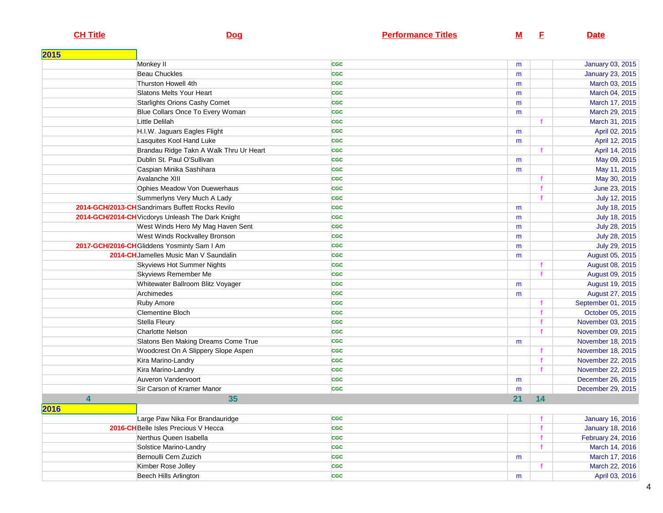## **CH Title**

## **Dog**

**Performance Titles** 

**<sup>F</sup> Date**

| 2015 |                                                   |            |    |             |                         |
|------|---------------------------------------------------|------------|----|-------------|-------------------------|
|      | Monkey II                                         | <b>CGC</b> | m  |             | January 03, 2015        |
|      | <b>Beau Chuckles</b>                              | <b>CGC</b> | m  |             | <b>January 23, 2015</b> |
|      | Thurston Howell 4th                               | <b>CGC</b> | m  |             | March 03, 2015          |
|      | Slatons Melts Your Heart                          | <b>CGC</b> | m  |             | March 04, 2015          |
|      | <b>Starlights Orions Cashy Comet</b>              | <b>CGC</b> | m  |             | March 17, 2015          |
|      | Blue Collars Once To Every Woman                  | <b>CGC</b> | m  |             | March 29, 2015          |
|      | Little Delilah                                    | <b>CGC</b> |    |             | March 31, 2015          |
|      | H.I.W. Jaguars Eagles Flight                      | <b>CGC</b> | m  |             | April 02, 2015          |
|      | Lasquites Kool Hand Luke                          | <b>CGC</b> | m  |             | April 12, 2015          |
|      | Brandau Ridge Takn A Walk Thru Ur Heart           | <b>CGC</b> |    |             | April 14, 2015          |
|      | Dublin St. Paul O'Sullivan                        | <b>CGC</b> | m  |             | May 09, 2015            |
|      | Caspian Minika Sashihara                          | <b>CGC</b> | m  |             | May 11, 2015            |
|      | Avalanche XIII                                    | <b>CGC</b> |    |             | May 30, 2015            |
|      | Ophies Meadow Von Duewerhaus                      | <b>CGC</b> |    | $\mathbf f$ | June 23, 2015           |
|      | Summerlyns Very Much A Lady                       | <b>CGC</b> |    |             | July 12, 2015           |
|      | 2014-GCH/2013-CH Sandrimars Buffett Rocks Revilo  | <b>CGC</b> | m  |             | July 18, 2015           |
|      | 2014-GCH/2014-CH Vicdorys Unleash The Dark Knight | <b>CGC</b> | m  |             | July 18, 2015           |
|      | West Winds Hero My Mag Haven Sent                 | <b>CGC</b> | m  |             | July 28, 2015           |
|      | West Winds Rockvalley Bronson                     | <b>CGC</b> | m  |             | July 28, 2015           |
|      | 2017-GCH/2016-CH Gliddens Yosminty Sam I Am       | <b>CGC</b> | m  |             | July 29, 2015           |
|      | 2014-CH Jamelles Music Man V Saundalin            | <b>CGC</b> | m  |             | August 05, 2015         |
|      | <b>Skyviews Hot Summer Nights</b>                 | <b>CGC</b> |    |             | August 08, 2015         |
|      | Skyviews Remember Me                              | <b>CGC</b> |    | f           | August 09, 2015         |
|      | Whitewater Ballroom Blitz Voyager                 | <b>CGC</b> | m  |             | August 19, 2015         |
|      | Archimedes                                        | <b>CGC</b> | m  |             | August 27, 2015         |
|      | Ruby Amore                                        | <b>CGC</b> |    |             | September 01, 2015      |
|      | <b>Clementine Bloch</b>                           | <b>CGC</b> |    |             | October 05, 2015        |
|      | Stella Fleury                                     | <b>CGC</b> |    |             | November 03, 2015       |
|      | <b>Charlotte Nelson</b>                           | <b>CGC</b> |    |             | November 09, 2015       |
|      | Slatons Ben Making Dreams Come True               | <b>CGC</b> | m  |             | November 18, 2015       |
|      | Woodcrest On A Slippery Slope Aspen               | <b>CGC</b> |    |             | November 18, 2015       |
|      | Kira Marino-Landry                                | <b>CGC</b> |    |             | November 22, 2015       |
|      | Kira Marino-Landry                                | <b>CGC</b> |    |             | November 22, 2015       |
|      | Auveron Vandervoort                               | <b>CGC</b> | m  |             | December 26, 2015       |
|      | Sir Carson of Kramer Manor                        | <b>CGC</b> | m  |             | December 29, 2015       |
|      | 4<br>35                                           |            | 21 | 14          |                         |
| 2016 |                                                   |            |    |             |                         |
|      | Large Paw Nika For Brandauridge                   | <b>CGC</b> |    |             | <b>January 16, 2016</b> |
|      | <b>2016-CH</b> Belle Isles Precious V Hecca       | <b>CGC</b> |    |             | <b>January 18, 2016</b> |
|      | Nerthus Queen Isabella                            | <b>CGC</b> |    |             | February 24, 2016       |
|      | Solstice Marino-Landry                            | <b>CGC</b> |    | f           | March 14, 2016          |
|      | Bernoulli Cern Zuzich                             | <b>CGC</b> | m  |             | March 17, 2016          |
|      | Kimber Rose Jolley                                | <b>CGC</b> |    |             | March 22, 2016          |
|      | Beech Hills Arlington                             | <b>CGC</b> | m  |             | April 03, 2016          |
|      |                                                   |            |    |             |                         |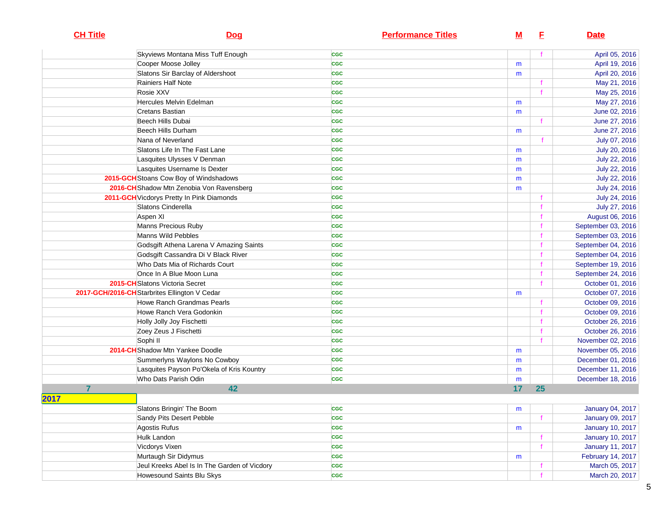| <b>CH Title</b> | <b>Dog</b>                                    | <b>Performance Titles</b> | <u>M</u> | E.          | <b>Date</b>             |
|-----------------|-----------------------------------------------|---------------------------|----------|-------------|-------------------------|
|                 | Skyviews Montana Miss Tuff Enough             | <b>CGC</b>                |          |             | April 05, 2016          |
|                 | Cooper Moose Jolley                           | <b>CGC</b>                | m        |             | April 19, 2016          |
|                 | Slatons Sir Barclay of Aldershoot             | <b>CGC</b>                | m        |             | April 20, 2016          |
|                 | Rainiers Half Note                            | <b>CGC</b>                |          |             | May 21, 2016            |
|                 | Rosie XXV                                     | <b>CGC</b>                |          |             | May 25, 2016            |
|                 | Hercules Melvin Edelman                       | <b>CGC</b>                | m        |             | May 27, 2016            |
|                 | <b>Cretans Bastian</b>                        | <b>CGC</b>                | m        |             | June 02, 2016           |
|                 | Beech Hills Dubai                             | <b>CGC</b>                |          |             | June 27, 2016           |
|                 | Beech Hills Durham                            | <b>CGC</b>                | m        |             | June 27, 2016           |
|                 | Nana of Neverland                             | <b>CGC</b>                |          | f           | July 07, 2016           |
|                 | Slatons Life In The Fast Lane                 | <b>CGC</b>                | m        |             | July 20, 2016           |
|                 | Lasquites Ulysses V Denman                    | <b>CGC</b>                | m        |             | July 22, 2016           |
|                 | Lasquites Username Is Dexter                  | <b>CGC</b>                | m        |             | July 22, 2016           |
|                 | 2015-GCH Stoans Cow Boy of Windshadows        | <b>CGC</b>                | m        |             | July 22, 2016           |
|                 | 2016-CH Shadow Mtn Zenobia Von Ravensberg     | <b>CGC</b>                | m        |             | July 24, 2016           |
|                 | 2011-GCH Vicdorys Pretty In Pink Diamonds     | <b>CGC</b>                |          |             | July 24, 2016           |
|                 | Slatons Cinderella                            | <b>CGC</b>                |          |             | July 27, 2016           |
|                 | Aspen XI                                      | <b>CGC</b>                |          |             | August 06, 2016         |
|                 | Manns Precious Ruby                           | <b>CGC</b>                |          |             | September 03, 2016      |
|                 | Manns Wild Pebbles                            | <b>CGC</b>                |          |             | September 03, 2016      |
|                 | Godsgift Athena Larena V Amazing Saints       | <b>CGC</b>                |          |             | September 04, 2016      |
|                 | Godsgift Cassandra Di V Black River           | <b>CGC</b>                |          |             | September 04, 2016      |
|                 | Who Dats Mia of Richards Court                | <b>CGC</b>                |          |             | September 19, 2016      |
|                 | Once In A Blue Moon Luna                      | <b>CGC</b>                |          |             | September 24, 2016      |
|                 | 2015-CH Slatons Victoria Secret               | <b>CGC</b>                |          |             | October 01, 2016        |
|                 | 2017-GCH/2016-CH Starbrites Ellington V Cedar | <b>CGC</b>                | m        |             | October 07, 2016        |
|                 | Howe Ranch Grandmas Pearls                    | <b>CGC</b>                |          |             | October 09, 2016        |
|                 | Howe Ranch Vera Godonkin                      | <b>CGC</b>                |          |             | October 09, 2016        |
|                 | Holly Jolly Joy Fischetti                     | <b>CGC</b>                |          |             | October 26, 2016        |
|                 | Zoey Zeus J Fischetti                         | <b>CGC</b>                |          |             | October 26, 2016        |
|                 | Sophi II                                      | <b>CGC</b>                |          |             | November 02, 2016       |
|                 | 2014-CH Shadow Mtn Yankee Doodle              | <b>CGC</b>                | m        |             | November 05, 2016       |
|                 | Summerlyns Waylons No Cowboy                  | <b>CGC</b>                | m        |             | December 01, 2016       |
|                 | Lasquites Payson Po'Okela of Kris Kountry     | <b>CGC</b>                | m        |             | December 11, 2016       |
|                 | Who Dats Parish Odin                          | <b>CGC</b>                | m        |             | December 18, 2016       |
| 7               | 42                                            |                           | 17       | 25          |                         |
| 2017            |                                               |                           |          |             |                         |
|                 | Slatons Bringin' The Boom                     | <b>CGC</b>                | m        |             | January 04, 2017        |
|                 | Sandy Pits Desert Pebble                      | <b>CGC</b>                |          |             | January 09, 2017        |
|                 | Agostis Rufus                                 | <b>CGC</b>                | m        |             | <b>January 10, 2017</b> |
|                 | Hulk Landon                                   | <b>CGC</b>                |          |             | <b>January 10, 2017</b> |
|                 | Vicdorys Vixen                                | <b>CGC</b>                |          | $\mathbf f$ | <b>January 11, 2017</b> |
|                 | Murtaugh Sir Didymus                          | <b>CGC</b>                | m        |             | February 14, 2017       |
|                 | Jeul Kreeks Abel Is In The Garden of Vicdory  | <b>CGC</b>                |          |             | March 05, 2017          |
|                 | Howesound Saints Blu Skys                     | <b>CGC</b>                |          |             | March 20, 2017          |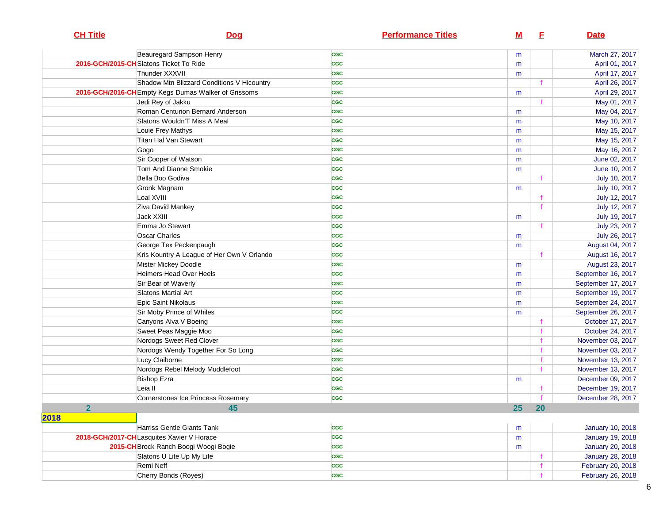| <b>CH Title</b> | Dog                                                  | <b>Performance Titles</b> | $\underline{\mathsf{M}}$ | E         | <b>Date</b>             |
|-----------------|------------------------------------------------------|---------------------------|--------------------------|-----------|-------------------------|
|                 | Beauregard Sampson Henry                             | <b>CGC</b>                | m                        |           | March 27, 2017          |
|                 | 2016-GCH/2015-CH Slatons Ticket To Ride              | <b>CGC</b>                | m                        |           | April 01, 2017          |
|                 | Thunder XXXVII                                       | <b>CGC</b>                | m                        |           | April 17, 2017          |
|                 | Shadow Mtn Blizzard Conditions V Hicountry           | <b>CGC</b>                |                          |           | April 26, 2017          |
|                 | 2016-GCH/2016-CH Empty Kegs Dumas Walker of Grissoms | <b>CGC</b>                | m                        |           | April 29, 2017          |
|                 | Jedi Rey of Jakku                                    | <b>CGC</b>                |                          | f.        | May 01, 2017            |
|                 | Roman Centurion Bernard Anderson                     | <b>CGC</b>                | m                        |           | May 04, 2017            |
|                 | Slatons Wouldn'T Miss A Meal                         | <b>CGC</b>                | m                        |           | May 10, 2017            |
|                 | Louie Frey Mathys                                    | <b>CGC</b>                | m                        |           | May 15, 2017            |
|                 | Titan Hal Van Stewart                                | <b>CGC</b>                | m                        |           | May 15, 2017            |
|                 | Gogo                                                 | <b>CGC</b>                | m                        |           | May 16, 2017            |
|                 | Sir Cooper of Watson                                 | <b>CGC</b>                | m                        |           | June 02, 2017           |
|                 | Tom And Dianne Smokie                                | <b>CGC</b>                | m                        |           | June 10, 2017           |
|                 | Bella Boo Godiva                                     | <b>CGC</b>                |                          |           | July 10, 2017           |
|                 | Gronk Magnam                                         | <b>CGC</b>                | m                        |           | July 10, 2017           |
|                 | Loal XVIII                                           | <b>CGC</b>                |                          |           | July 12, 2017           |
|                 | Ziva David Mankey                                    | <b>CGC</b>                |                          |           | July 12, 2017           |
|                 | Jack XXIII                                           | <b>CGC</b>                | m                        |           | July 19, 2017           |
|                 | Emma Jo Stewart                                      | <b>CGC</b>                |                          |           | July 23, 2017           |
|                 | <b>Oscar Charles</b>                                 | <b>CGC</b>                | m                        |           | July 26, 2017           |
|                 | George Tex Peckenpaugh                               | <b>CGC</b>                | m                        |           | August 04, 2017         |
|                 | Kris Kountry A League of Her Own V Orlando           | <b>CGC</b>                |                          |           | August 16, 2017         |
|                 | Mister Mickey Doodle                                 | <b>CGC</b>                | m                        |           | August 23, 2017         |
|                 | Heimers Head Over Heels                              | <b>CGC</b>                | m                        |           | September 16, 2017      |
|                 | Sir Bear of Waverly                                  | <b>CGC</b>                | m                        |           | September 17, 2017      |
|                 | Slatons Martial Art                                  | <b>CGC</b>                | m                        |           | September 19, 2017      |
|                 | Epic Saint Nikolaus                                  | <b>CGC</b>                | m                        |           | September 24, 2017      |
|                 | Sir Moby Prince of Whiles                            | <b>CGC</b>                | m                        |           | September 26, 2017      |
|                 | Canyons Alva V Boeing                                | <b>CGC</b>                |                          |           | October 17, 2017        |
|                 | Sweet Peas Maggie Moo                                | <b>CGC</b>                |                          |           | October 24, 2017        |
|                 | Nordogs Sweet Red Clover                             | <b>CGC</b>                |                          |           | November 03, 2017       |
|                 | Nordogs Wendy Together For So Long                   | <b>CGC</b>                |                          |           | November 03, 2017       |
|                 | Lucy Claiborne                                       | <b>CGC</b>                |                          |           | November 13, 2017       |
|                 | Nordogs Rebel Melody Muddlefoot                      | <b>CGC</b>                |                          |           | November 13, 2017       |
|                 | <b>Bishop Ezra</b>                                   | <b>CGC</b>                | m                        |           | December 09, 2017       |
|                 | Leia II                                              | <b>CGC</b>                |                          |           | December 19, 2017       |
|                 | Cornerstones Ice Princess Rosemary                   | <b>CGC</b>                |                          |           | December 28, 2017       |
| $\mathbf{2}$    | 45                                                   |                           | 25                       | <b>20</b> |                         |
| 2018            |                                                      |                           |                          |           |                         |
|                 | Harriss Gentle Giants Tank                           | <b>CGC</b>                | m                        |           | <b>January 10, 2018</b> |
|                 | 2018-GCH/2017-CHLasquites Xavier V Horace            | <b>CGC</b>                | m                        |           | <b>January 19, 2018</b> |
|                 | 2015-CH Brock Ranch Boogi Woogi Bogie                | <b>CGC</b>                | m                        |           | <b>January 20, 2018</b> |
|                 | Slatons U Lite Up My Life                            | <b>CGC</b>                |                          |           | January 28, 2018        |
|                 | Remi Neff                                            | <b>CGC</b>                |                          |           | February 20, 2018       |
|                 | Cherry Bonds (Royes)                                 | <b>CGC</b>                |                          |           | February 26, 2018       |
|                 |                                                      |                           |                          |           |                         |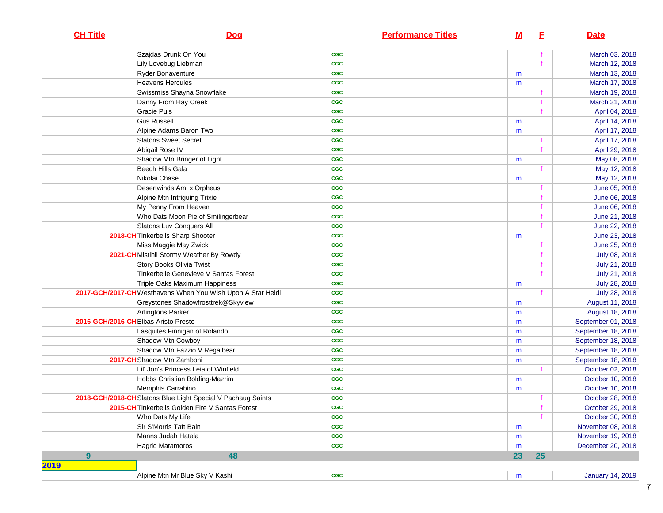| <b>CH Title</b> | <b>Dog</b>                                                                                   | <b>Performance Titles</b> | <u>M</u> | E           | <b>Date</b>                    |
|-----------------|----------------------------------------------------------------------------------------------|---------------------------|----------|-------------|--------------------------------|
|                 | Szajdas Drunk On You                                                                         | <b>CGC</b>                |          |             | March 03, 2018                 |
|                 | Lily Lovebug Liebman                                                                         | <b>CGC</b>                |          |             | March 12, 2018                 |
|                 | <b>Ryder Bonaventure</b>                                                                     | <b>CGC</b>                | m        |             | March 13, 2018                 |
|                 | Heavens Hercules                                                                             | <b>CGC</b>                | m        |             | March 17, 2018                 |
|                 | Swissmiss Shayna Snowflake                                                                   | <b>CGC</b>                |          |             | March 19, 2018                 |
|                 | Danny From Hay Creek                                                                         | <b>CGC</b>                |          |             | March 31, 2018                 |
|                 | Gracie Puls                                                                                  | <b>CGC</b>                |          |             | April 04, 2018                 |
|                 | <b>Gus Russell</b>                                                                           | <b>CGC</b>                | m        |             | April 14, 2018                 |
|                 | Alpine Adams Baron Two                                                                       | <b>CGC</b>                | m        |             | April 17, 2018                 |
|                 | <b>Slatons Sweet Secret</b>                                                                  | <b>CGC</b>                |          |             | April 17, 2018                 |
|                 | Abigail Rose IV                                                                              | <b>CGC</b>                |          |             | April 29, 2018                 |
|                 | Shadow Mtn Bringer of Light                                                                  | <b>CGC</b>                | m        |             | May 08, 2018                   |
|                 | Beech Hills Gala                                                                             | CGC                       |          |             | May 12, 2018                   |
|                 | Nikolai Chase                                                                                | <b>CGC</b>                | m        |             | May 12, 2018                   |
|                 | Desertwinds Ami x Orpheus                                                                    | <b>CGC</b>                |          |             | June 05, 2018                  |
|                 | Alpine Mtn Intriguing Trixie                                                                 | <b>CGC</b>                |          |             | June 06, 2018                  |
|                 | My Penny From Heaven                                                                         | <b>CGC</b>                |          |             | June 06, 2018                  |
|                 | Who Dats Moon Pie of Smilingerbear                                                           | <b>CGC</b>                |          |             | June 21, 2018                  |
|                 | Slatons Luv Conquers All                                                                     | <b>CGC</b>                |          |             | June 22, 2018                  |
|                 | 2018-CH Tinkerbells Sharp Shooter                                                            | <b>CGC</b>                | m        |             | June 23, 2018                  |
|                 | Miss Maggie May Zwick                                                                        | <b>CGC</b>                |          |             | June 25, 2018                  |
|                 | 2021-CH Mistihil Stormy Weather By Rowdy                                                     | <b>CGC</b>                |          |             | July 08, 2018                  |
|                 | Story Books Olivia Twist                                                                     | <b>CGC</b>                |          |             | July 21, 2018                  |
|                 | Tinkerbelle Genevieve V Santas Forest                                                        | <b>CGC</b><br><b>CGC</b>  |          |             | July 21, 2018                  |
|                 | Triple Oaks Maximum Happiness<br>2017-GCH/2017-CH Westhavens When You Wish Upon A Star Heidi | <b>CGC</b>                | m        |             | July 28, 2018<br>July 28, 2018 |
|                 | Greystones Shadowfrosttrek@Skyview                                                           | <b>CGC</b>                |          |             | August 11, 2018                |
|                 | Arlingtons Parker                                                                            | <b>CGC</b>                | m<br>m   |             | August 18, 2018                |
|                 | 2016-GCH/2016-CHEIbas Aristo Presto                                                          | <b>CGC</b>                | m        |             | September 01, 2018             |
|                 | Lasquites Finnigan of Rolando                                                                | <b>CGC</b>                | m        |             | September 18, 2018             |
|                 | Shadow Mtn Cowboy                                                                            | <b>CGC</b>                | m        |             | September 18, 2018             |
|                 | Shadow Mtn Fazzio V Regalbear                                                                | <b>CGC</b>                | m        |             | September 18, 2018             |
|                 | 2017-CH Shadow Mtn Zamboni                                                                   | <b>CGC</b>                | m        |             | September 18, 2018             |
|                 | Lil' Jon's Princess Leia of Winfield                                                         | <b>CGC</b>                |          | f.          | October 02, 2018               |
|                 | Hobbs Christian Bolding-Mazrim                                                               | $_{\rm cgc}$              | m        |             | October 10, 2018               |
|                 | Memphis Carrabino                                                                            | <b>CGC</b>                | m        |             | October 10, 2018               |
|                 | 2018-GCH/2018-CH Slatons Blue Light Special V Pachaug Saints                                 | <b>CGC</b>                |          |             | October 28, 2018               |
|                 | 2015-CH Tinkerbells Golden Fire V Santas Forest                                              | <b>CGC</b>                |          |             | October 29, 2018               |
|                 | Who Dats My Life                                                                             | <b>CGC</b>                |          | $\mathbf f$ | October 30, 2018               |
|                 | Sir S'Morris Taft Bain                                                                       | CGC                       | m        |             | November 08, 2018              |
|                 | Manns Judah Hatala                                                                           | <b>CGC</b>                | m        |             | November 19, 2018              |
|                 | <b>Hagrid Matamoros</b>                                                                      | CGC                       | m        |             | December 20, 2018              |
| 9               | 48                                                                                           |                           | 23       | 25          |                                |
| 2019            |                                                                                              |                           |          |             |                                |
|                 | Alpine Mtn Mr Blue Sky V Kashi                                                               | CGC                       | m        |             | <b>January 14, 2019</b>        |
|                 |                                                                                              |                           |          |             |                                |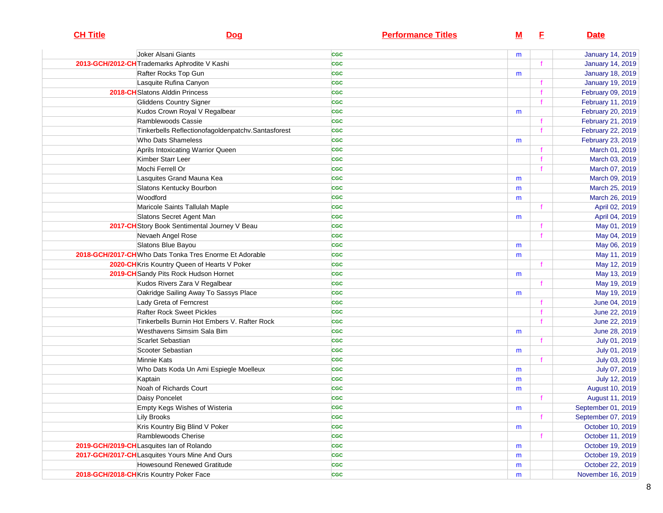| <b>CH Title</b> | Dog                                                     | <b>Performance Titles</b> | <u>M</u> | E | <b>Date</b>             |
|-----------------|---------------------------------------------------------|---------------------------|----------|---|-------------------------|
|                 | Joker Alsani Giants                                     | <b>CGC</b>                | m        |   | <b>January 14, 2019</b> |
|                 | 2013-GCH/2012-CH Trademarks Aphrodite V Kashi           | <b>CGC</b>                |          |   | <b>January 14, 2019</b> |
|                 | Rafter Rocks Top Gun                                    | <b>CGC</b>                | m        |   | <b>January 18, 2019</b> |
|                 | Lasquite Rufina Canyon                                  | <b>CGC</b>                |          |   | <b>January 19, 2019</b> |
|                 | 2018-CH Slatons Alddin Princess                         | <b>CGC</b>                |          |   | February 09, 2019       |
|                 | Gliddens Country Signer                                 | <b>CGC</b>                |          |   | February 11, 2019       |
|                 | Kudos Crown Royal V Regalbear                           | <b>CGC</b>                | m        |   | February 20, 2019       |
|                 | Ramblewoods Cassie                                      | <b>CGC</b>                |          |   | February 21, 2019       |
|                 | Tinkerbells Reflectionofagoldenpatchv.Santasforest      | <b>CGC</b>                |          |   | February 22, 2019       |
|                 | Who Dats Shameless                                      | <b>CGC</b>                | m        |   | February 23, 2019       |
|                 | Aprils Intoxicating Warrior Queen                       | <b>CGC</b>                |          |   | March 01, 2019          |
|                 | Kimber Starr Leer                                       | <b>CGC</b>                |          |   | March 03, 2019          |
|                 | Mochi Ferrell Or                                        | <b>CGC</b>                |          |   | March 07, 2019          |
|                 | Lasquites Grand Mauna Kea                               | <b>CGC</b>                | m        |   | March 09, 2019          |
|                 | Slatons Kentucky Bourbon                                | <b>CGC</b>                | m        |   | March 25, 2019          |
|                 | Woodford                                                | <b>CGC</b>                | m        |   | March 26, 2019          |
|                 | Maricole Saints Tallulah Maple                          | <b>CGC</b>                |          |   | April 02, 2019          |
|                 | Slatons Secret Agent Man                                | <b>CGC</b>                | m        |   | April 04, 2019          |
|                 | 2017-CH Story Book Sentimental Journey V Beau           | <b>CGC</b>                |          |   | May 01, 2019            |
|                 | Nevaeh Angel Rose                                       | <b>CGC</b>                |          |   | May 04, 2019            |
|                 | Slatons Blue Bayou                                      | <b>CGC</b>                | m        |   | May 06, 2019            |
|                 | 2018-GCH/2017-CH Who Dats Tonka Tres Enorme Et Adorable | <b>CGC</b>                | m        |   | May 11, 2019            |
|                 | 2020-CH Kris Kountry Queen of Hearts V Poker            | <b>CGC</b>                |          |   | May 12, 2019            |
|                 | 2019-CH Sandy Pits Rock Hudson Hornet                   | <b>CGC</b>                | m        |   | May 13, 2019            |
|                 | Kudos Rivers Zara V Regalbear                           | <b>CGC</b>                |          |   | May 19, 2019            |
|                 | Oakridge Sailing Away To Sassys Place                   | <b>CGC</b>                | m        |   | May 19, 2019            |
|                 | Lady Greta of Ferncrest                                 | <b>CGC</b>                |          |   | June 04, 2019           |
|                 | <b>Rafter Rock Sweet Pickles</b>                        | <b>CGC</b>                |          |   | June 22, 2019           |
|                 | Tinkerbells Burnin Hot Embers V. Rafter Rock            | <b>CGC</b>                |          |   | June 22, 2019           |
|                 | Westhavens Simsim Sala Bim                              | <b>CGC</b>                | m        |   | June 28, 2019           |
|                 | Scarlet Sebastian                                       | <b>CGC</b>                |          |   | July 01, 2019           |
|                 | Scooter Sebastian                                       | <b>CGC</b>                | m        |   | July 01, 2019           |
|                 | Minnie Kats                                             | <b>CGC</b>                |          |   | July 03, 2019           |
|                 | Who Dats Koda Un Ami Espiegle Moelleux                  | <b>CGC</b>                | m        |   | July 07, 2019           |
|                 | Kaptain                                                 | <b>CGC</b>                | m        |   | July 12, 2019           |
|                 | Noah of Richards Court                                  | <b>CGC</b>                | m        |   | August 10, 2019         |
|                 | Daisy Poncelet                                          | <b>CGC</b>                |          |   | August 11, 2019         |
|                 | Empty Kegs Wishes of Wisteria                           | <b>CGC</b>                | m        |   | September 01, 2019      |
|                 | Lily Brooks                                             | <b>CGC</b>                |          |   | September 07, 2019      |
|                 | Kris Kountry Big Blind V Poker                          | <b>CGC</b>                | m        |   | October 10, 2019        |
|                 | Ramblewoods Cherise                                     | <b>CGC</b>                |          |   | October 11, 2019        |
|                 | 2019-GCH/2019-CHLasquites Ian of Rolando                | <b>CGC</b>                | m        |   | October 19, 2019        |
|                 | 2017-GCH/2017-CHLasquites Yours Mine And Ours           | <b>CGC</b>                | m        |   | October 19, 2019        |
|                 | Howesound Renewed Gratitude                             | <b>CGC</b>                | m        |   | October 22, 2019        |
|                 | 2018-GCH/2018-CHKris Kountry Poker Face                 | <b>CGC</b>                | m        |   | November 16, 2019       |
|                 |                                                         |                           |          |   |                         |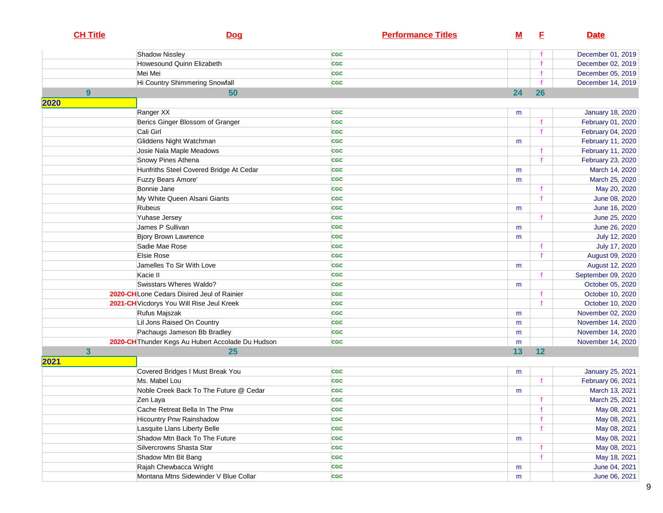| <b>CH Title</b> | Dog                                               | <b>Performance Titles</b> | <u>M</u> | E            | <b>Date</b>                    |
|-----------------|---------------------------------------------------|---------------------------|----------|--------------|--------------------------------|
|                 | Shadow Nissley                                    | <b>CGC</b>                |          |              | December 01, 2019              |
|                 | Howesound Quinn Elizabeth                         | <b>CGC</b>                |          |              | December 02, 2019              |
|                 | Mei Mei                                           | <b>CGC</b>                |          |              | December 05, 2019              |
|                 | Hi Country Shimmering Snowfall                    | <b>CGC</b>                |          |              | December 14, 2019              |
| 9               | 50                                                |                           | 24       | 26           |                                |
| 2020            |                                                   |                           |          |              |                                |
|                 | Ranger XX                                         | <b>CGC</b>                | m        |              | <b>January 18, 2020</b>        |
|                 | Berics Ginger Blossom of Granger                  | <b>CGC</b>                |          |              | February 01, 2020              |
|                 | Cali Girl                                         | <b>CGC</b>                |          |              | February 04, 2020              |
|                 | Gliddens Night Watchman                           | <b>CGC</b>                | m        |              | February 11, 2020              |
|                 | Josie Nala Maple Meadows                          | <b>CGC</b>                |          | f            | February 11, 2020              |
|                 | Snowy Pines Athena                                | <b>CGC</b>                |          | $\mathbf{f}$ | February 23, 2020              |
|                 | Hunfriths Steel Covered Bridge At Cedar           | <b>CGC</b>                | m        |              | March 14, 2020                 |
|                 | <b>Fuzzy Bears Amore'</b><br>Bonnie Jane          | <b>CGC</b>                | m        |              | March 25, 2020                 |
|                 |                                                   | <b>CGC</b><br><b>CGC</b>  |          | $\mathbf f$  | May 20, 2020                   |
|                 | My White Queen Alsani Giants<br>Rubeus            | <b>CGC</b>                |          |              | June 08, 2020                  |
|                 | Yuhase Jersey                                     | <b>CGC</b>                | m        |              | June 16, 2020<br>June 25, 2020 |
|                 | James P Sullivan                                  | <b>CGC</b>                | m        |              | June 26, 2020                  |
|                 | <b>Bjory Brown Lawrence</b>                       | <b>CGC</b>                | m        |              | July 12, 2020                  |
|                 | Sadie Mae Rose                                    | <b>CGC</b>                |          |              | July 17, 2020                  |
|                 | Elsie Rose                                        | <b>CGC</b>                |          |              | August 09, 2020                |
|                 | Jamelles To Sir With Love                         | <b>CGC</b>                | m        |              | August 12, 2020                |
|                 | Kacie II                                          | <b>CGC</b>                |          |              | September 09, 2020             |
|                 | Swisstars Wheres Waldo?                           | <b>CGC</b>                | m        |              | October 05, 2020               |
|                 | 2020-CHLone Cedars Disired Jeul of Rainier        | <b>CGC</b>                |          |              | October 10, 2020               |
|                 | 2021-CH Vicdorys You Will Rise Jeul Kreek         | <b>CGC</b>                |          |              | October 10, 2020               |
|                 | Rufus Majszak                                     | <b>CGC</b>                | m        |              | November 02, 2020              |
|                 | Lil Jons Raised On Country                        | <b>CGC</b>                | m        |              | November 14, 2020              |
|                 | Pachaugs Jameson Bb Bradley                       | <b>CGC</b>                | m        |              | November 14, 2020              |
|                 | 2020-CH Thunder Kegs Au Hubert Accolade Du Hudson | <b>CGC</b>                | m        |              | November 14, 2020              |
| $\mathbf{3}$    | 25                                                |                           | 13       | 12           |                                |
| 2021            |                                                   |                           |          |              |                                |
|                 | Covered Bridges I Must Break You                  | <b>CGC</b>                | m        |              | <b>January 25, 2021</b>        |
|                 | Ms. Mabel Lou                                     | <b>CGC</b>                |          |              | February 06, 2021              |
|                 | Noble Creek Back To The Future @ Cedar            | <b>CGC</b>                | m        |              | March 13, 2021                 |
|                 | Zen Laya                                          | <b>CGC</b>                |          |              | March 25, 2021                 |
|                 | Cache Retreat Bella In The Pnw                    | <b>CGC</b>                |          | f            | May 08, 2021                   |
|                 | <b>Hicountry Pnw Rainshadow</b>                   | <b>CGC</b>                |          |              | May 08, 2021                   |
|                 | Lasquite Llans Liberty Belle                      | <b>CGC</b>                |          | $\mathbf f$  | May 08, 2021                   |
|                 | Shadow Mtn Back To The Future                     | <b>CGC</b>                | m        |              | May 08, 2021                   |
|                 | Silvercrowns Shasta Star                          | CGC                       |          | $\mathbf f$  | May 08, 2021                   |
|                 | Shadow Mtn Bit Bang                               | <b>CGC</b>                |          | $\mathbf{f}$ | May 18, 2021                   |
|                 | Rajah Chewbacca Wright                            | <b>CGC</b>                | m        |              | June 04, 2021                  |
|                 | Montana Mtns Sidewinder V Blue Collar             | <b>CGC</b>                | m        |              | June 06, 2021                  |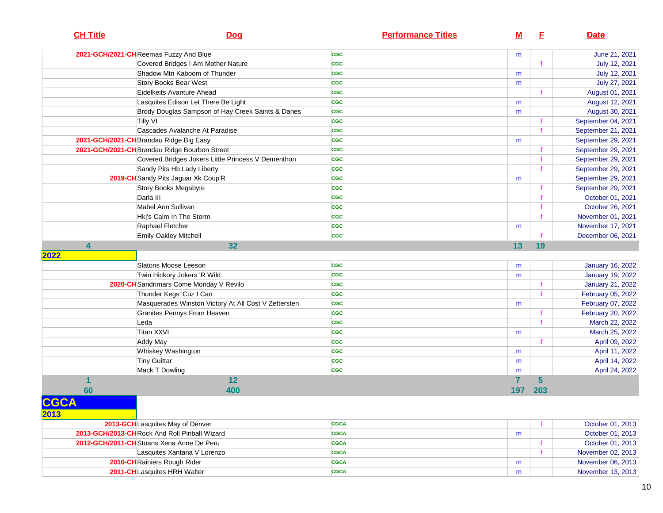| 2021-GCH/2021-CHReemas Fuzzy And Blue<br><b>CGC</b><br>m                | June 21, 2021           |
|-------------------------------------------------------------------------|-------------------------|
| Covered Bridges I Am Mother Nature<br><b>CGC</b>                        | July 12, 2021           |
| Shadow Mtn Kaboom of Thunder<br><b>CGC</b><br>m                         | July 12, 2021           |
| Story Books Bear West<br><b>CGC</b><br>m                                | July 27, 2021           |
| Eidelkeits Avanture Ahead<br><b>CGC</b>                                 | August 01, 2021         |
| Lasquites Edison Let There Be Light<br><b>CGC</b><br>m                  | August 12, 2021         |
| Brody Douglas Sampson of Hay Creek Saints & Danes<br><b>CGC</b><br>m    | August 30, 2021         |
| <b>Tilly VI</b><br><b>CGC</b>                                           | September 04, 2021      |
| Cascades Avalanche At Paradise<br><b>CGC</b>                            | September 21, 2021      |
| 2021-GCH/2021-CH Brandau Ridge Big Easy<br><b>CGC</b><br>m              | September 29, 2021      |
| 2021-GCH/2021-CH Brandau Ridge Bourbon Street<br><b>CGC</b>             | September 29, 2021      |
| Covered Bridges Jokers Little Princess V Dementhon<br><b>CGC</b>        | September 29, 2021      |
| Sandy Pits Hb Lady Liberty<br><b>CGC</b>                                | September 29, 2021      |
| 2019-CH Sandy Pits Jaguar Xk Coup'R<br><b>CGC</b><br>m                  | September 29, 2021      |
| Story Books Megabyte<br><b>CGC</b>                                      | September 29, 2021      |
| Darla III<br><b>CGC</b><br>f                                            | October 01, 2021        |
| Mabel Ann Sullivan<br><b>CGC</b>                                        | October 26, 2021        |
| Hkj's Calm In The Storm<br><b>CGC</b>                                   | November 01, 2021       |
| Raphael Fletcher<br><b>CGC</b><br>m                                     | November 17, 2021       |
| Emily Oakley Mitchell<br><b>CGC</b>                                     | December 06, 2021       |
| 4<br>32<br>13<br>19                                                     |                         |
| 2022                                                                    |                         |
| Slatons Moose Leeson<br><b>CGC</b><br>m                                 | <b>January 16, 2022</b> |
| Twin Hickory Jokers 'R Wild<br><b>CGC</b><br>m                          | <b>January 19, 2022</b> |
| 2020-CH Sandrimars Come Monday V Revilo<br><b>CGC</b>                   | January 21, 2022        |
| Thunder Kegs 'Cuz I Can<br><b>CGC</b>                                   | February 05, 2022       |
| Masquerades Winston Victory At All Cost V Zettersten<br><b>CGC</b><br>m | February 07, 2022       |
| Granites Pennys From Heaven<br><b>CGC</b><br>f                          | February 20, 2022       |
| Leda<br><b>CGC</b><br>$\mathbf{f}$                                      | March 22, 2022          |
| Titan XXVI<br><b>CGC</b><br>m                                           | March 25, 2022          |
| <b>Addy May</b><br><b>CGC</b>                                           | April 09, 2022          |
| Whiskey Washington<br><b>CGC</b><br>m                                   | April 11, 2022          |
| Tiny Guittar<br><b>CGC</b><br>m                                         | April 14, 2022          |
| Mack T Dowling<br><b>CGC</b><br>m                                       | April 24, 2022          |
| 12<br>7<br>5                                                            |                         |
| 60<br>203<br>400<br>197                                                 |                         |
| <b>CGCA</b><br>2013                                                     |                         |
| 2013-GCHLasquites May of Denver<br><b>CGCA</b>                          | October 01, 2013        |
| 2013-GCH/2013-CH Rock And Roll Pinball Wizard<br><b>CGCA</b><br>m       | October 01, 2013        |
| 2012-GCH/2011-CH Stoans Xena Anne De Peru<br>CGCA                       | October 01, 2013        |
| Lasquites Xantana V Lorenzo<br>CGCA                                     | November 02, 2013       |
| 2010-CH Rainiers Rough Rider<br><b>CGCA</b><br>m                        | November 06, 2013       |
| 2011-CHLasquites HRH Walter<br><b>CGCA</b><br>m                         | November 13, 2013       |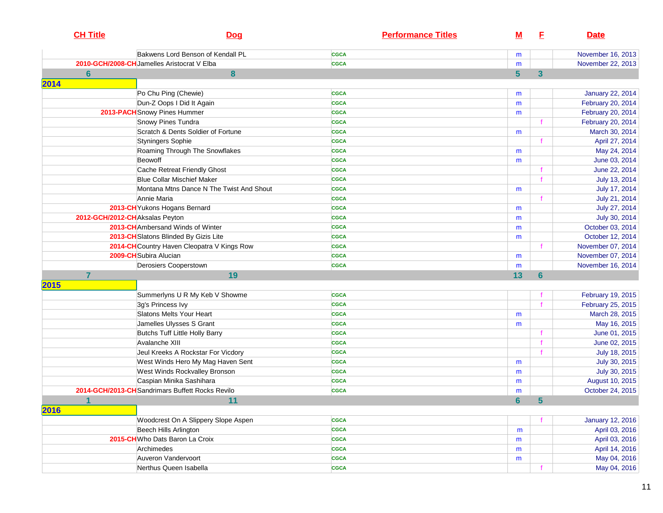| <b>CH Title</b> | <u>Doq</u>                                       | <b>Performance Titles</b> | M              | E            | <b>Date</b>             |
|-----------------|--------------------------------------------------|---------------------------|----------------|--------------|-------------------------|
|                 | Bakwens Lord Benson of Kendall PL                | <b>CGCA</b>               | m              |              | November 16, 2013       |
|                 | 2010-GCH/2008-CH Jamelles Aristocrat V Elba      | <b>CGCA</b>               | m              |              | November 22, 2013       |
| $6\phantom{a}$  | 8                                                |                           | 5              | $\mathbf{3}$ |                         |
| 2014            |                                                  |                           |                |              |                         |
|                 | Po Chu Ping (Chewie)                             | <b>CGCA</b>               | m              |              | <b>January 22, 2014</b> |
|                 | Dun-Z Oops I Did It Again                        | <b>CGCA</b>               | m              |              | February 20, 2014       |
|                 | 2013-PACH Snowy Pines Hummer                     | <b>CGCA</b>               | m              |              | February 20, 2014       |
|                 | Snowy Pines Tundra                               | <b>CGCA</b>               |                |              | February 20, 2014       |
|                 | Scratch & Dents Soldier of Fortune               | <b>CGCA</b>               | m              |              | March 30, 2014          |
|                 | Styningers Sophie                                | <b>CGCA</b>               |                |              | April 27, 2014          |
|                 | Roaming Through The Snowflakes                   | <b>CGCA</b>               | m              |              | May 24, 2014            |
|                 | Beowoff                                          | <b>CGCA</b>               | m              |              | June 03, 2014           |
|                 | Cache Retreat Friendly Ghost                     | <b>CGCA</b>               |                |              | June 22, 2014           |
|                 | <b>Blue Collar Mischief Maker</b>                | <b>CGCA</b>               |                |              | July 13, 2014           |
|                 | Montana Mtns Dance N The Twist And Shout         | <b>CGCA</b>               | m              |              | July 17, 2014           |
|                 | Annie Maria                                      | <b>CGCA</b>               |                |              | July 21, 2014           |
|                 | 2013-CH Yukons Hogans Bernard                    | <b>CGCA</b>               | m              |              | July 27, 2014           |
|                 | 2012-GCH/2012-CHAksalas Peyton                   | <b>CGCA</b>               | m              |              | July 30, 2014           |
|                 | <b>2013-CH</b> Ambersand Winds of Winter         | <b>CGCA</b>               | m              |              | October 03, 2014        |
|                 | 2013-CH Slatons Blinded By Gizis Lite            | <b>CGCA</b>               | m              |              | October 12, 2014        |
|                 | 2014-CH Country Haven Cleopatra V Kings Row      | <b>CGCA</b>               |                |              | November 07, 2014       |
|                 | 2009-CH Subira Alucian                           | <b>CGCA</b>               | m              |              | November 07, 2014       |
|                 | Derosiers Cooperstown                            | <b>CGCA</b>               | m              |              | November 16, 2014       |
| $\overline{7}$  | 19                                               |                           | 13             | 6            |                         |
| 2015            |                                                  |                           |                |              |                         |
|                 | Summerlyns U R My Keb V Showme                   | <b>CGCA</b>               |                |              | February 19, 2015       |
|                 | 3g's Princess Ivy                                | <b>CGCA</b>               |                |              | February 25, 2015       |
|                 | Slatons Melts Your Heart                         | <b>CGCA</b>               | m              |              | March 28, 2015          |
|                 | Jamelles Ulysses S Grant                         | <b>CGCA</b>               | m              |              | May 16, 2015            |
|                 | Butchs Tuff Little Holly Barry                   | <b>CGCA</b>               |                |              | June 01, 2015           |
|                 | Avalanche XIII                                   | <b>CGCA</b>               |                |              | June 02, 2015           |
|                 | Jeul Kreeks A Rockstar For Vicdory               | <b>CGCA</b>               |                |              | July 18, 2015           |
|                 | West Winds Hero My Mag Haven Sent                | <b>CGCA</b>               | m              |              | July 30, 2015           |
|                 | West Winds Rockvalley Bronson                    | <b>CGCA</b>               | m              |              | July 30, 2015           |
|                 | Caspian Minika Sashihara                         | <b>CGCA</b>               | m              |              | August 10, 2015         |
|                 | 2014-GCH/2013-CH Sandrimars Buffett Rocks Revilo | <b>CGCA</b>               | m              |              | October 24, 2015        |
| $\mathbf{1}$    | 11                                               |                           | $6\phantom{a}$ | 5            |                         |
| 2016            |                                                  |                           |                |              |                         |
|                 | Woodcrest On A Slippery Slope Aspen              | <b>CGCA</b>               |                |              | <b>January 12, 2016</b> |
|                 | Beech Hills Arlington                            | <b>CGCA</b>               | m              |              | April 03, 2016          |
|                 | 2015-CH Who Dats Baron La Croix                  | <b>CGCA</b>               | m              |              | April 03, 2016          |
|                 | Archimedes                                       | <b>CGCA</b>               | m              |              | April 14, 2016          |
|                 | Auveron Vandervoort                              | <b>CGCA</b>               | m              |              | May 04, 2016            |
|                 | Nerthus Queen Isabella                           | <b>CGCA</b>               |                |              | May 04, 2016            |
|                 |                                                  |                           |                |              |                         |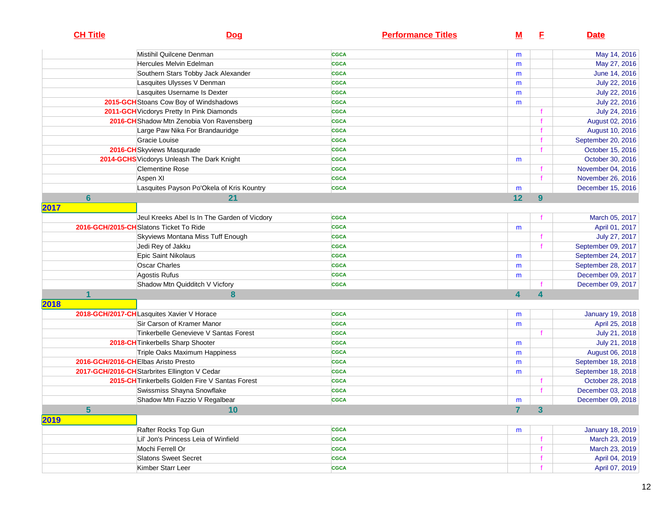| <b>CH Title</b> | <b>Dog</b>                                      | <b>Performance Titles</b> | м                       | E | <b>Date</b>             |
|-----------------|-------------------------------------------------|---------------------------|-------------------------|---|-------------------------|
|                 | Mistihil Quilcene Denman                        | <b>CGCA</b>               | m                       |   | May 14, 2016            |
|                 | Hercules Melvin Edelman                         | <b>CGCA</b>               | m                       |   | May 27, 2016            |
|                 | Southern Stars Tobby Jack Alexander             | <b>CGCA</b>               | m                       |   | June 14, 2016           |
|                 | Lasquites Ulysses V Denman                      | <b>CGCA</b>               | m                       |   | July 22, 2016           |
|                 | Lasquites Username Is Dexter                    | <b>CGCA</b>               | m                       |   | July 22, 2016           |
|                 | 2015-GCH Stoans Cow Boy of Windshadows          | <b>CGCA</b>               | m                       |   | July 22, 2016           |
|                 | 2011-GCH Vicdorys Pretty In Pink Diamonds       | <b>CGCA</b>               |                         |   | July 24, 2016           |
|                 | 2016-CH Shadow Mtn Zenobia Von Ravensberg       | <b>CGCA</b>               |                         |   | August 02, 2016         |
|                 | Large Paw Nika For Brandauridge                 | <b>CGCA</b>               |                         |   | August 10, 2016         |
|                 | Gracie Louise                                   | <b>CGCA</b>               |                         |   | September 20, 2016      |
|                 | 2016-CH Skyviews Masqurade                      | <b>CGCA</b>               |                         |   | October 15, 2016        |
|                 | 2014-GCHS Vicdorys Unleash The Dark Knight      | <b>CGCA</b>               | m                       |   | October 30, 2016        |
|                 | <b>Clementine Rose</b>                          | <b>CGCA</b>               |                         |   | November 04, 2016       |
|                 | Aspen XI                                        | <b>CGCA</b>               |                         |   | November 26, 2016       |
|                 | Lasquites Payson Po'Okela of Kris Kountry       | <b>CGCA</b>               | m                       |   | December 15, 2016       |
| 6               | 21                                              |                           | 12                      | 9 |                         |
| 2017            |                                                 |                           |                         |   |                         |
|                 | Jeul Kreeks Abel Is In The Garden of Vicdory    | <b>CGCA</b>               |                         |   | March 05, 2017          |
|                 | 2016-GCH/2015-CHSlatons Ticket To Ride          | <b>CGCA</b>               | m                       |   | April 01, 2017          |
|                 | Skyviews Montana Miss Tuff Enough               | <b>CGCA</b>               |                         |   | July 27, 2017           |
|                 | Jedi Rey of Jakku                               | <b>CGCA</b>               |                         |   | September 09, 2017      |
|                 | Epic Saint Nikolaus                             | <b>CGCA</b>               | m                       |   | September 24, 2017      |
|                 | <b>Oscar Charles</b>                            | <b>CGCA</b>               | m                       |   | September 28, 2017      |
|                 | Agostis Rufus                                   | <b>CGCA</b>               | m                       |   | December 09, 2017       |
|                 | Shadow Mtn Quidditch V Vicfory                  | <b>CGCA</b>               |                         |   | December 09, 2017       |
|                 | 8                                               |                           | $\overline{\mathbf{4}}$ | 4 |                         |
| 2018            |                                                 |                           |                         |   |                         |
|                 | 2018-GCH/2017-CHLasquites Xavier V Horace       | <b>CGCA</b>               | m                       |   | <b>January 19, 2018</b> |
|                 | Sir Carson of Kramer Manor                      | <b>CGCA</b>               | m                       |   | April 25, 2018          |
|                 | Tinkerbelle Genevieve V Santas Forest           | <b>CGCA</b>               |                         |   | July 21, 2018           |
|                 | 2018-CH Tinkerbells Sharp Shooter               | <b>CGCA</b>               | m                       |   | July 21, 2018           |
|                 | Triple Oaks Maximum Happiness                   | <b>CGCA</b>               | m                       |   | August 06, 2018         |
|                 | 2016-GCH/2016-CHElbas Aristo Presto             | <b>CGCA</b>               | m                       |   | September 18, 2018      |
|                 | 2017-GCH/2016-CH Starbrites Ellington V Cedar   | <b>CGCA</b>               | m                       |   | September 18, 2018      |
|                 | 2015-CH Tinkerbells Golden Fire V Santas Forest | <b>CGCA</b>               |                         |   | October 28, 2018        |
|                 | Swissmiss Shayna Snowflake                      | <b>CGCA</b>               |                         |   | December 03, 2018       |
|                 | Shadow Mtn Fazzio V Regalbear                   | <b>CGCA</b>               | m                       |   | December 09, 2018       |
| $5\phantom{a}$  | 10                                              |                           | 7 <sup>1</sup>          | 3 |                         |
| 2019            |                                                 |                           |                         |   |                         |
|                 | Rafter Rocks Top Gun                            | <b>CGCA</b>               | m                       |   | January 18, 2019        |
|                 | Lil' Jon's Princess Leia of Winfield            | <b>CGCA</b>               |                         |   | March 23, 2019          |
|                 | Mochi Ferrell Or                                | <b>CGCA</b>               |                         |   | March 23, 2019          |
|                 | <b>Slatons Sweet Secret</b>                     | <b>CGCA</b>               |                         |   | April 04, 2019          |
|                 | Kimber Starr Leer                               | <b>CGCA</b>               |                         |   | April 07, 2019          |
|                 |                                                 |                           |                         |   |                         |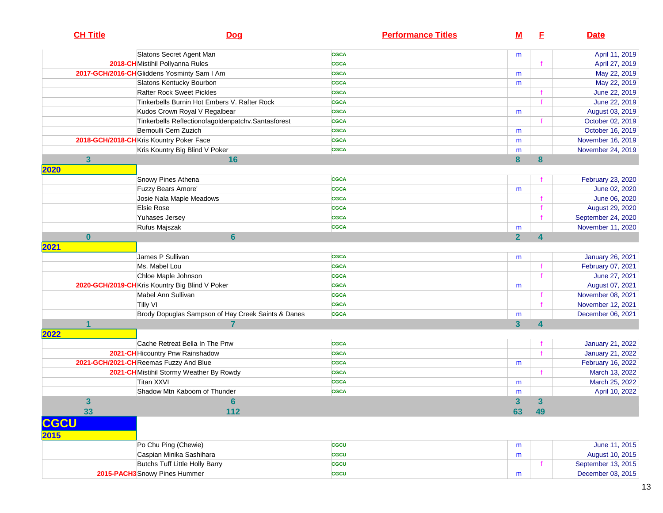|             | <b>CH Title</b>                             | <b>Dog</b>                                          | <b>Performance Titles</b> | <u>M</u>       | E           | <b>Date</b>             |
|-------------|---------------------------------------------|-----------------------------------------------------|---------------------------|----------------|-------------|-------------------------|
|             |                                             | Slatons Secret Agent Man                            | <b>CGCA</b>               | m              |             | April 11, 2019          |
|             |                                             | 2018-CH Mistihil Pollyanna Rules                    | <b>CGCA</b>               |                |             | April 27, 2019          |
|             | 2017-GCH/2016-CH Gliddens Yosminty Sam I Am |                                                     | <b>CGCA</b>               | m              |             | May 22, 2019            |
|             |                                             | Slatons Kentucky Bourbon                            | <b>CGCA</b>               | m              |             | May 22, 2019            |
|             |                                             | <b>Rafter Rock Sweet Pickles</b>                    | <b>CGCA</b>               |                | f           | June 22, 2019           |
|             |                                             | Tinkerbells Burnin Hot Embers V. Rafter Rock        | <b>CGCA</b>               |                | f           | June 22, 2019           |
|             |                                             | Kudos Crown Royal V Regalbear                       | <b>CGCA</b>               | m              |             | August 03, 2019         |
|             |                                             | Tinkerbells Reflectionofagoldenpatchv. Santasforest | <b>CGCA</b>               |                |             | October 02, 2019        |
|             |                                             | Bernoulli Cern Zuzich                               | <b>CGCA</b>               | m              |             | October 16, 2019        |
|             |                                             | 2018-GCH/2018-CHKris Kountry Poker Face             | <b>CGCA</b>               | m              |             | November 16, 2019       |
|             |                                             | Kris Kountry Big Blind V Poker                      | <b>CGCA</b>               | m              |             | November 24, 2019       |
|             | $\mathbf{3}$                                | 16                                                  |                           | 8              | 8           |                         |
| 2020        |                                             |                                                     |                           |                |             |                         |
|             |                                             | Snowy Pines Athena                                  | <b>CGCA</b>               |                |             | February 23, 2020       |
|             |                                             | Fuzzy Bears Amore'                                  | <b>CGCA</b>               | m              |             | June 02, 2020           |
|             |                                             | Josie Nala Maple Meadows                            | <b>CGCA</b>               |                |             | June 06, 2020           |
|             |                                             | Elsie Rose                                          | <b>CGCA</b>               |                | f           | August 29, 2020         |
|             |                                             | Yuhases Jersey                                      | <b>CGCA</b>               |                | f           | September 24, 2020      |
|             |                                             | Rufus Majszak                                       | <b>CGCA</b>               | m              |             | November 11, 2020       |
|             | $\mathbf{0}$                                | $6\phantom{1}$                                      |                           | $\overline{2}$ | 4           |                         |
| 2021        |                                             |                                                     |                           |                |             |                         |
|             |                                             | James P Sullivan                                    | <b>CGCA</b>               | m              |             | <b>January 26, 2021</b> |
|             |                                             | Ms. Mabel Lou                                       | <b>CGCA</b>               |                | $\mathbf f$ | February 07, 2021       |
|             |                                             | Chloe Maple Johnson                                 | <b>CGCA</b>               |                | $\mathbf f$ | June 27, 2021           |
|             |                                             | 2020-GCH/2019-CHKris Kountry Big Blind V Poker      | <b>CGCA</b>               | m              |             | August 07, 2021         |
|             |                                             | Mabel Ann Sullivan                                  | <b>CGCA</b>               |                |             | November 08, 2021       |
|             |                                             | Tilly VI                                            | <b>CGCA</b>               |                |             | November 12, 2021       |
|             |                                             | Brody Dopuglas Sampson of Hay Creek Saints & Danes  | <b>CGCA</b>               | m              |             | December 06, 2021       |
|             |                                             |                                                     |                           | 3              | 4           |                         |
| 2022        |                                             |                                                     |                           |                |             |                         |
|             |                                             | Cache Retreat Bella In The Pnw                      | <b>CGCA</b>               |                |             | <b>January 21, 2022</b> |
|             |                                             | 2021-CH Hicountry Pnw Rainshadow                    | <b>CGCA</b>               |                |             | January 21, 2022        |
|             |                                             | 2021-GCH/2021-CHReemas Fuzzy And Blue               | <b>CGCA</b>               | m              |             | February 16, 2022       |
|             |                                             | 2021-CH Mistihil Stormy Weather By Rowdy            | <b>CGCA</b>               |                |             | March 13, 2022          |
|             |                                             | Titan XXVI                                          | <b>CGCA</b>               | m              |             | March 25, 2022          |
|             |                                             | Shadow Mtn Kaboom of Thunder                        | <b>CGCA</b>               | m              |             | April 10, 2022          |
|             | 3                                           | 6                                                   |                           | 3              | 3           |                         |
|             | 33                                          | 112                                                 |                           | 63             | 49          |                         |
| <b>CGCU</b> |                                             |                                                     |                           |                |             |                         |
| 2015        |                                             |                                                     |                           |                |             |                         |
|             |                                             | Po Chu Ping (Chewie)                                | <b>CGCU</b>               | m              |             | June 11, 2015           |
|             |                                             | Caspian Minika Sashihara                            | <b>CGCU</b>               | m              |             | August 10, 2015         |
|             |                                             | Butchs Tuff Little Holly Barry                      | <b>CGCU</b>               |                |             | September 13, 2015      |
|             |                                             | 2015-PACH3 Snowy Pines Hummer                       | <b>CGCU</b>               | m              |             | December 03, 2015       |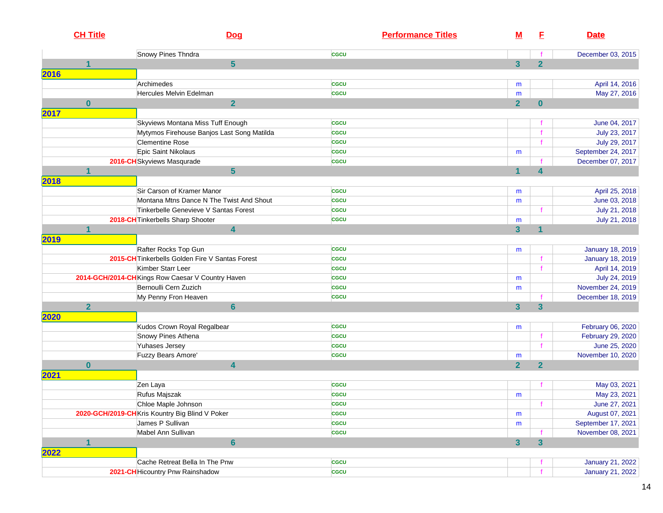|      | <b>CH Title</b> | <b>Dog</b>                                        | <b>Performance Titles</b> | <u>M</u>                | E                       | <b>Date</b>             |
|------|-----------------|---------------------------------------------------|---------------------------|-------------------------|-------------------------|-------------------------|
|      |                 | Snowy Pines Thndra                                | cacu                      |                         |                         | December 03, 2015       |
|      | 1               | $5\phantom{.0}$                                   |                           | $\overline{\mathbf{3}}$ | $\overline{2}$          |                         |
| 2016 |                 |                                                   |                           |                         |                         |                         |
|      |                 | Archimedes                                        | cacu                      | m                       |                         | April 14, 2016          |
|      |                 | Hercules Melvin Edelman                           | cacu                      | m                       |                         | May 27, 2016            |
|      | $\mathbf{0}$    | $\overline{2}$                                    |                           | $\overline{2}$          | $\bf{0}$                |                         |
| 2017 |                 |                                                   |                           |                         |                         |                         |
|      |                 | Skyviews Montana Miss Tuff Enough                 | <b>CGCU</b>               |                         |                         | June 04, 2017           |
|      |                 | Mytymos Firehouse Banjos Last Song Matilda        | <b>CGCU</b>               |                         |                         | July 23, 2017           |
|      |                 | <b>Clementine Rose</b>                            | <b>CGCU</b>               |                         |                         | July 29, 2017           |
|      |                 | Epic Saint Nikolaus                               | <b>CGCU</b>               | m                       |                         | September 24, 2017      |
|      |                 | 2016-CH Skyviews Masqurade                        | <b>CGCU</b>               |                         |                         | December 07, 2017       |
|      |                 | $5\phantom{1}$                                    |                           | 1                       | $\boldsymbol{A}$        |                         |
| 2018 |                 |                                                   |                           |                         |                         |                         |
|      |                 | Sir Carson of Kramer Manor                        | <b>CGCU</b>               | m                       |                         | April 25, 2018          |
|      |                 | Montana Mtns Dance N The Twist And Shout          | cacu                      | m                       |                         | June 03, 2018           |
|      |                 | Tinkerbelle Genevieve V Santas Forest             | <b>CGCU</b>               |                         | f                       | July 21, 2018           |
|      |                 | 2018-CH Tinkerbells Sharp Shooter                 | <b>CGCU</b>               | m                       |                         | July 21, 2018           |
|      | 1               | $\overline{\mathbf{4}}$                           |                           | $\overline{\mathbf{3}}$ | 1                       |                         |
| 2019 |                 |                                                   |                           |                         |                         |                         |
|      |                 | Rafter Rocks Top Gun                              | cacu                      | m                       |                         | <b>January 18, 2019</b> |
|      |                 | 2015-CH Tinkerbells Golden Fire V Santas Forest   | <b>CGCU</b>               |                         |                         | <b>January 18, 2019</b> |
|      |                 | Kimber Starr Leer                                 | <b>CGCU</b>               |                         |                         | April 14, 2019          |
|      |                 | 2014-GCH/2014-CH Kings Row Caesar V Country Haven | <b>CGCU</b>               | m                       |                         | July 24, 2019           |
|      |                 | Bernoulli Cern Zuzich                             | <b>CGCU</b>               | m                       |                         | November 24, 2019       |
|      |                 | My Penny Fron Heaven                              | <b>CGCU</b>               |                         |                         | December 18, 2019       |
|      | $\overline{2}$  | $6\phantom{a}$                                    |                           | $\mathbf{3}$            | $\overline{\mathbf{3}}$ |                         |
| 2020 |                 |                                                   |                           |                         |                         |                         |
|      |                 | Kudos Crown Royal Regalbear                       | <b>CGCU</b>               | m                       |                         | February 06, 2020       |
|      |                 | Snowy Pines Athena                                | <b>CGCU</b>               |                         | $\mathbf f$             | February 29, 2020       |
|      |                 | Yuhases Jersey                                    | <b>CGCU</b>               |                         | $\mathbf{f}$            | June 25, 2020           |
|      |                 | Fuzzy Bears Amore'                                | <b>CGCU</b>               | m                       |                         | November 10, 2020       |
|      | $\mathbf{0}$    | $\overline{\mathbf{4}}$                           |                           | $\overline{2}$          | $\overline{2}$          |                         |
| 2021 |                 |                                                   |                           |                         |                         |                         |
|      |                 | Zen Laya                                          | <b>CGCU</b>               |                         |                         | May 03, 2021            |
|      |                 | Rufus Majszak                                     | <b>CGCU</b>               | m                       |                         | May 23, 2021            |
|      |                 | Chloe Maple Johnson                               | <b>CGCU</b>               |                         |                         | June 27, 2021           |
|      |                 | 2020-GCH/2019-CHKris Kountry Big Blind V Poker    | <b>CGCU</b>               | m                       |                         | August 07, 2021         |
|      |                 | James P Sullivan                                  | <b>CGCU</b>               | m                       |                         | September 17, 2021      |
|      |                 | Mabel Ann Sullivan                                | cacu                      |                         |                         | November 08, 2021       |
|      | 1               | $6\phantom{a}$                                    |                           | $\overline{3}$          | $\overline{\mathbf{3}}$ |                         |
| 2022 |                 |                                                   |                           |                         |                         |                         |
|      |                 | Cache Retreat Bella In The Pnw                    | cacu                      |                         |                         | <b>January 21, 2022</b> |
|      |                 | 2021-CH Hicountry Pnw Rainshadow                  | <b>CGCU</b>               |                         |                         | <b>January 21, 2022</b> |
|      |                 |                                                   |                           |                         |                         |                         |